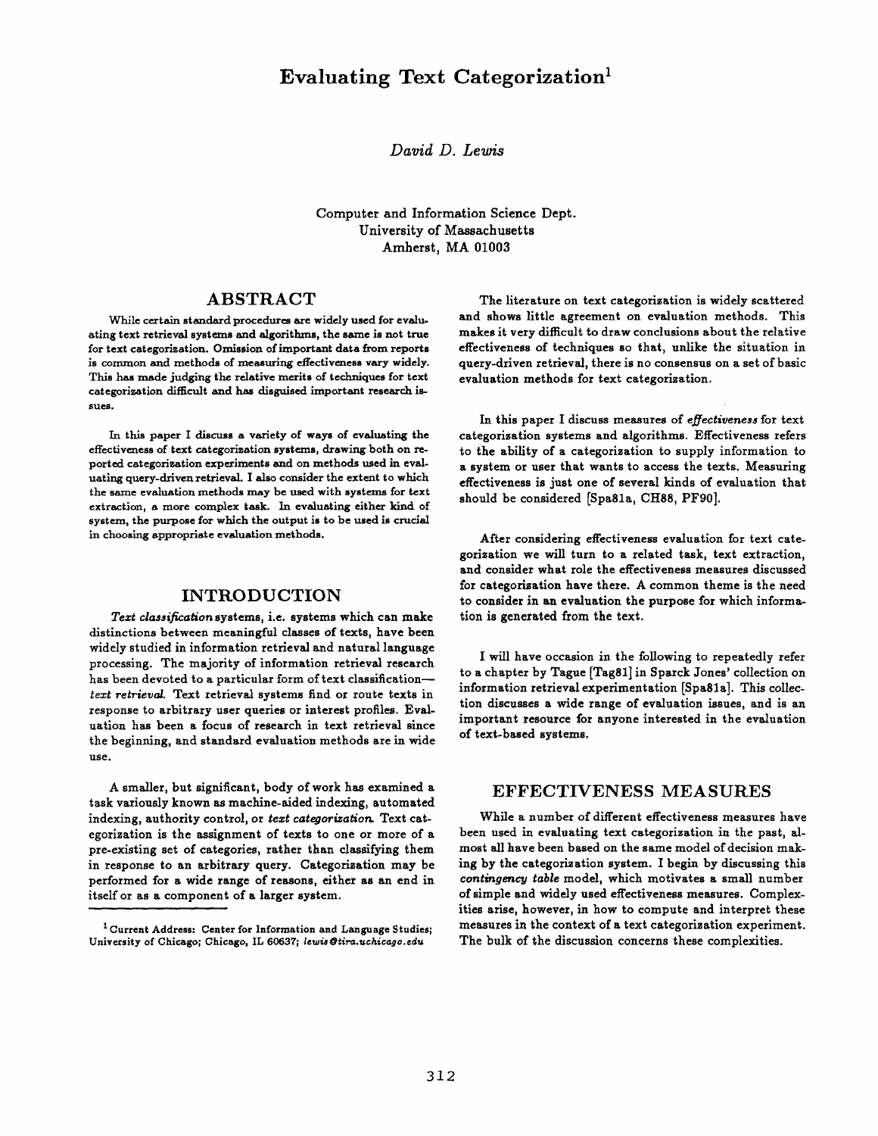# **Evaluating Text Categorization**<sup>1</sup>

*David D. Lewis* 

Computer and Information Science Dept. University of Massachusetts Amherst, MA 01003

#### ABSTRACT

While certain standard procedures are widely used for evaluating text retrieval systems and algorithms, the sarne is not true for text categorization. Omission of important data from reports is common and methods of measuring effectiveness vary widely. This has made judging the relative merits of techniques for text categorization difficult and has disguised important research issues.

In this paper I discuss a variety of ways of evaluating **the**  effectiveness of text categorization systems, drawing both on reported categorization experiments and on methods used in evaluating query-driven retrieval. I also consider the extent to which the same evaluation methods may be used with systems for text extraction, a more complex task. In evaluating either kind of system, the purpose for which the output is to be used is crucial in choosing appropriate evaluation methods.

#### INTRODUCTION

*Text classification* systems, i.e. systems which can make distinctions between meaningful classes of texts, have been widely studied in information retrieval and natural language processing. The majority of information retrieval research has been devoted to a particular form of text classificationtext retrieval. Text retrieval systems find or route texts in response to arbitrary user queries or interest profiles. Evaluation has been a focus of research in text retrieval since the beginning, and standard evaluation methods are in wide use.

A smaller, but significant, body of work has examined a task variously known as machine-aided indexing, automated indexing, authority control, or *text categorization.* Text categorization is the assignment of texts to one or more of a pre-existing set of categories, rather than classifying them in response to an arbitrary query. Categorization may be performed for a wide range of reasons, either as an end in itself or as a component of a larger system.

The literature on text categorization is widely scattered and shows little agreement on evaluation methods. This makes it very difficult to draw conclusions about the relative effectiveness of techniques so that, unlike the situation in query-driven retrieval, there is no consensus on a set of basic evaluation methods for text categorization.

In this paper I discuss measures of *effectiveness* for text categorization systems and algorithms. Effectiveness refers to the ability of a categorization to supply information to a system or user that wants to access the texts. Measuring effectiveness is just one of several kinds of evaluation that should be considered [Spa81a, CH88, PF90].

After considering effectiveness evaluation for text categorization we will turn to a related task, text extraction, and consider what role the effectiveness measures discussed for categorization have there. A common theme is the need to consider in an evaluation the purpose for which information is generated from the text.

I will have occasion in the following to repeatedly refer to a chapter by Tague [Tag81] in Sparck Jones' collection on information retrieval experimentation [Spagla]. This collection discusses a wide range of evaluation issues, and is an important resource for anyone interested in the evaluation of text-based systems.

#### **EFFECTIVENESS** MEASURES

While a number of different effectiveness measures have been used in evaluating text categorization in the past, almost all have been based on the same model of decision making by the categorization system. I begin by discussing this *contingency table* model, which motivates a small number of simple and widely used effectiveness measures. Complexities arise, however, in how to compute and interpret these measures in the context of a text categorization experiment. The bulk of the discussion concerns these complexities.

**i** Current Address: Center for Information and Language Studies; University of Chicago; Chicago, IL 60637; *lewis@tira.uchicago.edu*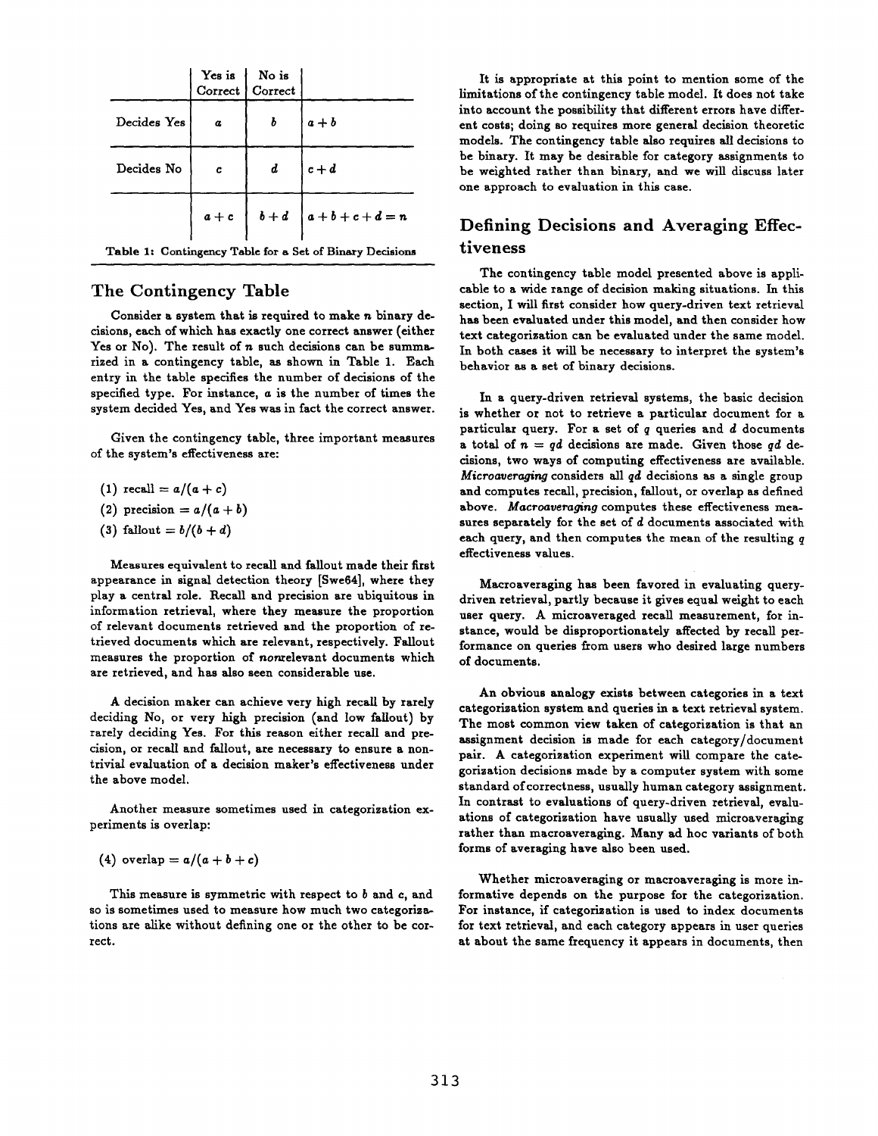|                                                          |          | Yes is No is<br>Correct Correct |                                     |  |  |  |  |  |
|----------------------------------------------------------|----------|---------------------------------|-------------------------------------|--|--|--|--|--|
| Decides Yes                                              | $\alpha$ | b                               | $ a+b $                             |  |  |  |  |  |
| Decides No                                               | c        | $\boldsymbol{d}$                | $ c+d$                              |  |  |  |  |  |
|                                                          |          |                                 | $a + c$ $b + d$ $a + b + c + d = n$ |  |  |  |  |  |
| Table 1: Contingency Table for a Set of Binary Decisions |          |                                 |                                     |  |  |  |  |  |

### **The Contingency Table**

Consider a system that is required to make n binary decisions, each of which has exactly one correct answer (either Yes or No). The result of  $n$  such decisions can be summarized in a contingency table, as shown in Table 1. Each entry in the table specifies the number of decisions of the specified type. For instance, a is the number of times the system decided Yes, and Yes was in fact the correct answer.

Given the contingency table, three important measures of the system's effectiveness are:

 $(1)$  recall =  $a/(a + c)$ 

(2) precision = 
$$
a/(a + b)
$$

(3) fallout =  $b/(b + d)$ 

Measures equivalent to recall and fallout made their first appearance in signal detection theory [Swe64], where they play a central role. Recall and precision are ubiquitous in information retrieval, where they measure the proportion of relevant documents retrieved and the proportion of retrieved documents which are relevant, respectively. Fallout measures the proportion of nonrelevant documents which are retrieved, and has also seen considerable use.

A decision maker can achieve very high recall by rarely deciding No, or very high precision (and low fallout) by rarely deciding Yes. For this reason either recall and precision, or recall and fallout, are necessary to ensure a nontrivial evaluation of a decision maker's effectiveness under the above model.

Another measure sometimes used in categorization experiments is overlap:

(4) overlap = 
$$
a/(a+b+c)
$$

This measure is symmetric with respect to b and c, and so is sometimes used to measure how much two categorizations are alike without defining one or the other to be correct.

It is appropriate at this point to mention some of the limitations of the contingency table model. It does not take into account the possibility that different errors have different costs; doing so requires more general decision theoretic models. The contingency table also requires all decisions to be binary. It may be desirable for category assignments to be weighted rather than binary, and we will discuss later one approach to evaluation in this case.

# **Defining Decisions and Averaging Effectiveness**

The contingency table model presented above is applicable to a wide range of decision making situations. In this section, I will first consider how query-driven text retrieval has been evaluated under this model, and then consider how text categorization can be evaluated under the same model. In both cases it will be necessary to interpret the system's behavior as a set of binary decisions.

In a query-driven retrieval systems, the basic decision is whether or not to retrieve a particular document for a particular query. For a set of  $q$  queries and  $d$  documents a total of  $n = qd$  decisions are made. Given those qd decisions, two ways of computing effectiveness are available. *Microaueraging* considers all qd decisions as a single group and computes recall, precision, fallout, or overlap as defined above. *Macroaveraging* computes these effectiveness measures separately for the set of d documents associated with each query, and then computes the mean of the resulting  $q$ effectiveness values.

Macroaveraging has been favored in evaluating querydriven retrieval, partly because it gives equal weight to each user query. A microaveraged recall measurement, for instance, would be disproportionately affected by recall performance on queries from users who desired large numbers of documents.

An obvious analogy exists between categories in a text categorization system and queries in a text retrieval system. The most common view taken of categorization is that an assignment decision is made for each category/document pair. A categorization experiment will compare the categorization decisions made by a computer system with some standard of correctness, usually human category assignment. In contrast to evaluations of query-driven retrieval, evaluations of categorization have usually used microaveraging rather than macroaveraging. Many ad hoc variants of both forms of averaging have also been used.

Whether microaveraging or macroaveraging is more informative depends on the purpose for the categorization. For instance, if categorization is used to index documents for text retrieval, and each category appears in user queries at about the same frequency it appears in documents, then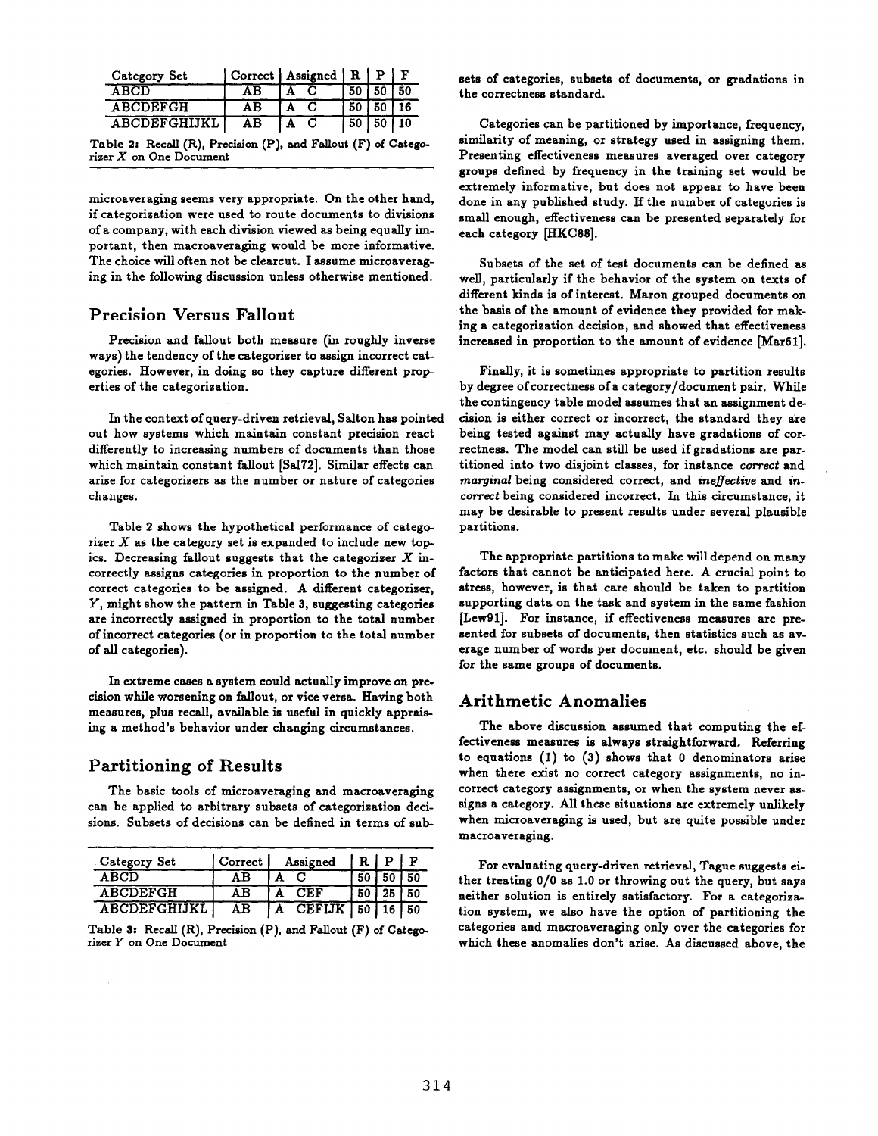| Category Set        |    | Correct   Assigned   R   P   F |      |      |     |
|---------------------|----|--------------------------------|------|------|-----|
| ABCD                |    |                                |      |      |     |
| <b>ABCDEFGH</b>     | ΑR |                                | 50   |      |     |
| <b>ABCDEFGHIJKL</b> | ΑR |                                | . 50 | l 50 | 110 |

Table 2: Recall (R), Precision (P), and Fallout (F) of Categorizer  $X$  on One Document

microaveraging seems very appropriate. On the other hand, if categorization were used to route documents to divisions of a company, with each division viewed as being equally important, then macroaveraging would be more informative. The choice will often not be clearcut. I assume microaveraging in the following discussion unless otherwise mentioned.

### **Precision Versus Fallout**

Precision and fallout both measure (in roughly inverse ways) the tendency of the categorizer to assign incorrect categories. However, in doing so they capture different properties of the categorization.

In the context of query-driven retrieval, Salton has pointed out how systems which maintain constant precision react differently to increasing numbers of documents than those which maintain constant fallout [Sal72]. Similar effects can arise for categorizers as the number or nature of categories changes.

Table 2 shows the hypothetical performance of categorizer  $X$  as the category set is expanded to include new topics. Decreasing fallout suggests that the categorizer  $X$  incorrectly assigns categories in proportion to the number of correct categories to be assigned. A different categorizer, Y, might show the pattern in Table 3, suggesting categories are incorrectly assigned in proportion to the total number of incorrect categories (or in proportion to the total number of all categories).

In extreme cases a system could actually improve on precision while worsening on fallout, or vice versa. Having both measures, plus recall, available is useful in quickly appraising a method's behavior under changing circumstances.

### Partitioning of Results

The basic tools of microaveraging and macroaveraging can be applied to arbitrary subsets of categorization decisions. Subsets of decisions can be defined in terms of sub-

| Category Set          | Correct | Assigned              | R P |         |    |
|-----------------------|---------|-----------------------|-----|---------|----|
| <b>ABCD</b>           | ΑR      |                       |     |         | 50 |
| <b>ABCDEFGH</b>       | AВ      | CEF                   | -50 | 25   50 |    |
| <b>ABCDEFGHIJKL  </b> | ΑB      | CEFIJK   50   16   50 |     |         |    |

Table 3: Recall (R), Precision (P), and Fallout (F) of Categorizer Y on One Document

sets of categories, subsets of documents, or gradations in the correctness standard.

Categories can be partitioned by importance, frequency, similarity of meaning, or strategy used in assigning them. Presenting effectiveness measures averaged over category groups defined by frequency in the training set would be extremely informative, but does not appear to have been done in any published study. If the number of categories is small enough, effectiveness can be presented separately for each category [HKC88].

Subsets of the set of test documents can be defined as well, particularly if the behavior of the system on texts of different kinds is of interest. Maron grouped documents on the basis of the amount of evidence they provided for making a categorization decision, and showed that effectiveness increased in proportion to the amount of evidence [Mar61].

Finally, it is sometimes appropriate to partition results by degree of correctness of a category/document pair. While the contingency table model assumes that an assignment decision is either correct or incorrect, the standard they are being tested against may actually have gradations of correctness. The model can still be used if gradations are partitioned into two disjoint classes, for instance *correct* and *marginal* being considered correct, and *ineffective* and in*correct* being considered incorrect. In this circumstance, it may be desirable to present results under several plausible partitions.

The appropriate partitions to make will depend on many factors that cannot be anticipated here. A crucial point to stress, however, is that care should be taken to partition supporting data on the task and system in the same fashion [Lew91]. For instance, if effectiveness measures are presented for subsets of documents, then statistics such as average number of words per document, etc. should be given for the same groups of documents.

### **Arithmetic Anomalies**

The above discussion assumed that computing the effectiveness measures is always straightforward. Referring to equations (1) to (3) shows that 0 denominators arise when there exist no correct category assignments, no incorrect category assignments, or when the system never assigns a category. All these situations are extremely unlikely when microaveraging is used, but are quite possible under macroaveraging.

For evaluating query-driven retrieval, Tague suggests either treating 0/0 as 1.0 or throwing out the query, but says neither solution is entirely satisfactory. For a categorization system, we also have the option of partitioning the categories and macroaveraging only over the categories for which these anomalies don't arise. As discussed above, the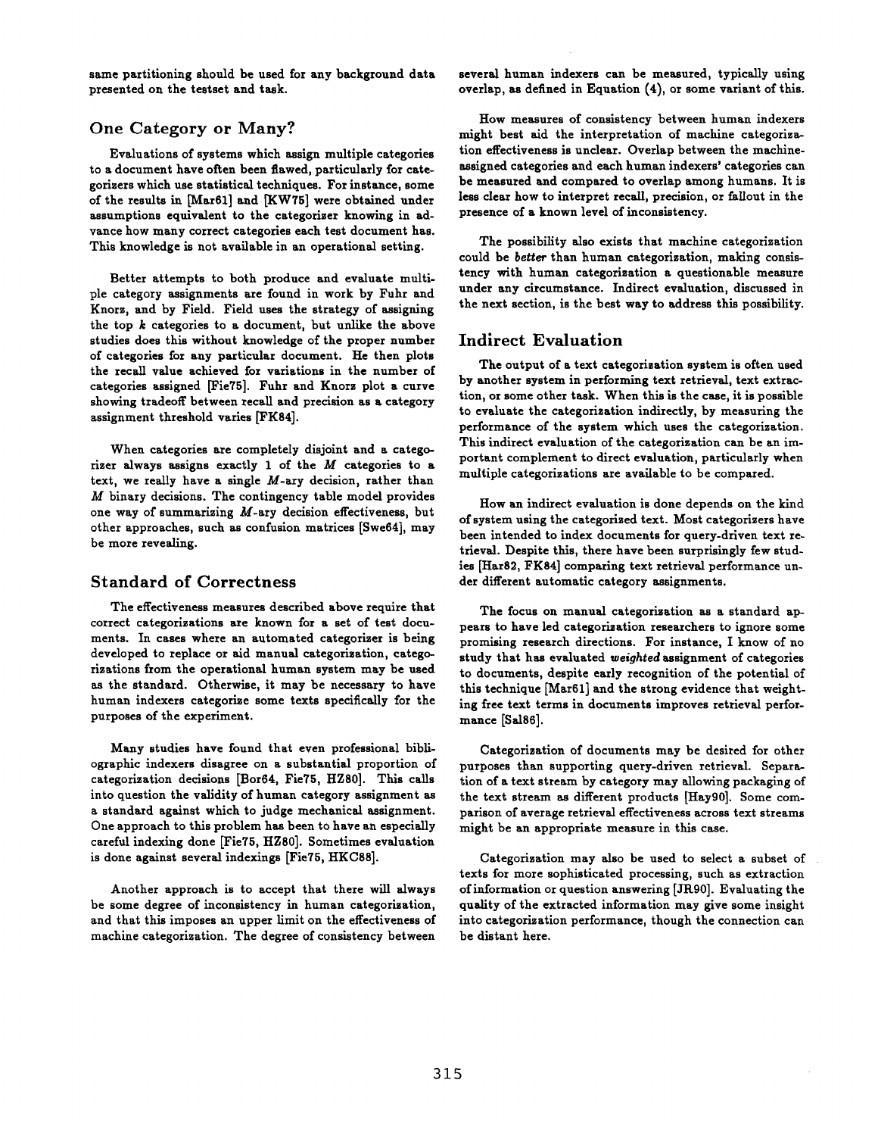same partitioning should be used for any background data presented on the testset and task.

### One Category or Many?

Evaluations of systems which assign multiple categories to a document have often been flawed, particularly for categorizers which use statistical techniques. For instance, some of the results in [Mar61] and [KW75] were obtained under assumptions equivalent to the categorizer knowing in advance how many correct categories each test document has. This knowledge is not available in an operational setting.

Better attempts to both produce and evaluate multiple category assignments are found in work by Fuhr and Knorz, and by Field. Field uses the strategy of assigning the top  $k$  categories to a document, but unlike the above studies does this without knowledge of the proper number of categories for any particular document. He then plots the recall value achieved for variations in the number of categories assigned [Fie75]. Fuhr and Knorz plot a curve showing tradeoff between recall and precision as a category assignment threshold varies [FK84].

When categories are completely disjoint and a categorizer always assigns exactly 1 of the M categories to a text, we really have a single  $M$ -ary decision, rather than M binary decisions. The contingency table model provides one way of summarizing M-ary decision effectiveness, but other approaches, such as confusion matrices [Swe64], may be more revealing.

### **Standard of Correctness**

The effectiveness measures described above require that correct categorizations are known for a set of test documents. In cases where an automated categorizer is being developed to replace or aid manual categorization, categorizations from the operational human system may be used as the standard. Otherwise, it may be necessary to have human indexers categorize some texts specifically for the purposes of the experiment.

Many studies have found that even professional bibliographic indexers disagree on a substantial proportion of categorization decisions [Bor64, Fie75, HZ80]. This calls into question the validity of human category assignment as a standard against which to judge mechanical assignment. One approach to this problem has been to have an especially careful indexing done [Fie75, HZS0]. Sometimes evaluation is done against several indexings [Fie75, HKC88].

Another approach is to accept that there will always be some degree of inconsistency in human categorization, and that this imposes an upper limit on the effectiveness of machine categorization. The degree of consistency between

several human indexers can be measured, typically using overlap, as defined in Equation (4), or some variant of this.

How measures of consistency between human indexers might best aid the interpretation of machine categorization effectiveness is unclear. Overlap between the machineassigned categories and each human indexers' categories can be measured and compared to overlap among humans. It is less clear how to interpret recall, precision, or fallout in the presence of a known level of inconsistency.

The possibility also exists that machine categorization could be *better* than human categorization, making consistency with human categorization a questionable measure under any circumstance. Indirect evaluation, discussed in the next section, is the best way to address this possibility.

# **Indirect Evaluation**

The output of a text categorization system is often used by another system in performing text retrieval, text extraction, or some other task. When this is the case, it is possible to evaluate the categorization indirectly, by measuring the performance of the system which uses the categorization. This indirect evaluation of the categorization can be an important complement to direct evaluation, particularly when multiple categorizations are available to be compared.

How an indirect evaluation is done depends on the kind of system using the categorized text. Most categorizers have been intended to index documents for query-driven text retrieval. Despite this, there have been surprisingly few studies [Hat82, FK84] comparing text retrieval performance under different automatic category assignments.

The focus on manual categorization as a standard appears to have led categorization researchers to ignore some promising research directions. For instance, I know of no study that has evaluated *weighted* assignment of categories to documents, despite early recognition of the potential of this technique [Mar61] and the strong evidence that weighting free text terms in documents improves retrieval performance [Sa186].

Categorization of documents may be desired for other purposes than supporting query-driven retrieval. Separation of a text stream by category may allowing packaging of the text stream as different products [Hay90]. Some comparison of average retrieval effectiveness across text streams might be an appropriate measure in this case.

Categorization may also be used to select a subset of texts for more sophisticated processing, such as extraction of information or question answering [JR90]. Evaluating the quality of the extracted information may give some insight into categorization performance, though the connection can be distant here.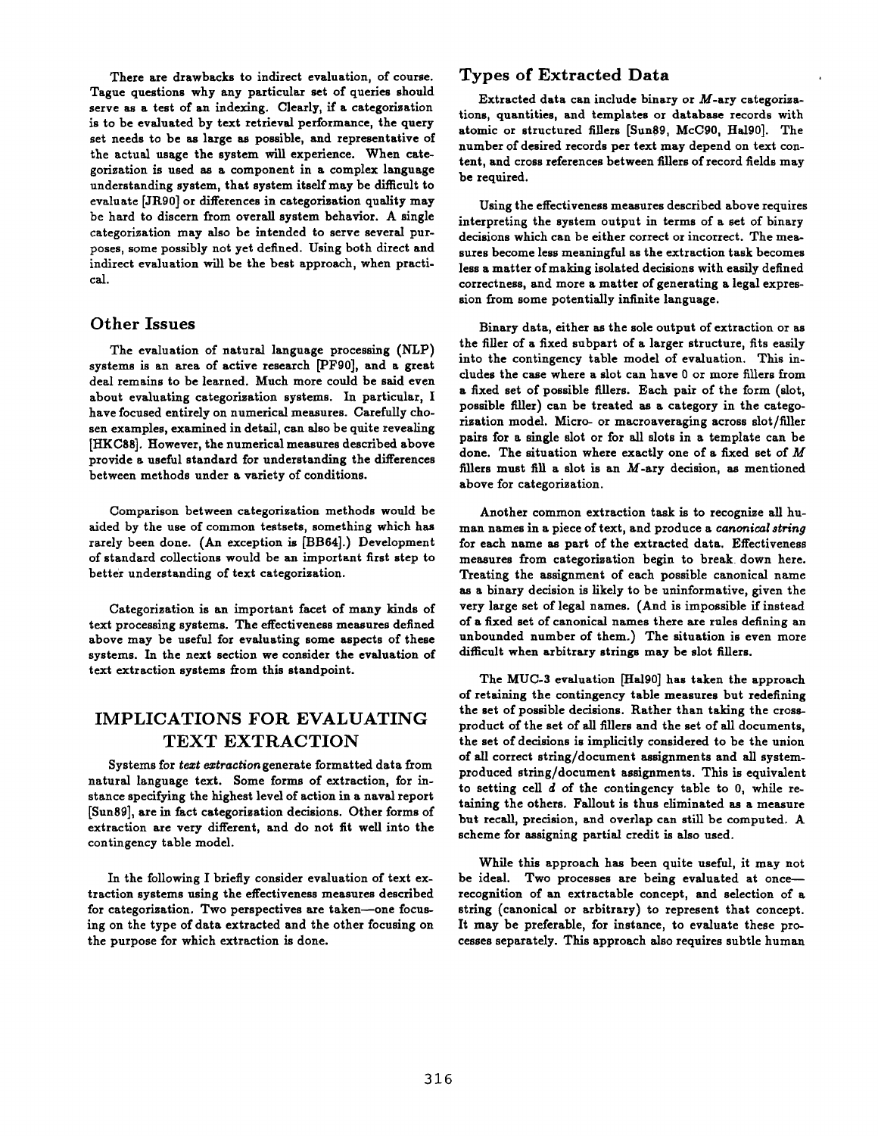There are drawbacks to indirect evaluation, of course. Tague questions why any particular set of queries should serve as a test of an indexing. Cleaxly, if a categorization is to be evaluated by text retrieval performance, the query set needs to be as large as possible, and representative of the actual usage the system will experience. When categorization is used as a component in a complex language understanding system, that system itself may be difficult to evaluate [JR90] or differences in categorization quality may be hard to discern from overall system behavior. A single categorization may also be intended to serve several purposes, some possibly not yet defined. Using both direct and indirect evaluation will be the best approach, when practical.

### Other Issues

The evaluation of natural language processing (NLP) systems is an area of active research [PF90], and a great deal remains to be learned. Much more could be said even about evaluating categorization systems. In particular, I have focused entirely on numerical measures. Carefully chosen examples, examined in detail, can also be quite revealing [HKC88]. However, the numerical measures described above provide a useful standard for understanding the differences between methods under a variety of conditions.

Comparison between categorization methods would be aided by the use of common testsets, something which has rarely been done. (An exception is [BB64].) Development of standard collections would be an important first step to better understanding of text categorization.

Categorization is an important facet of many kinds of text processing systems. The effectiveness measures defined above may be useful for evaluating some aspects of these systems. In the next section we consider the evaluation of text extraction systems from this standpoint.

# IMPLICATIONS FOR EVALUATING TEXT EXTRACTION

Systems for *text extraction* generate formatted data from natural language text. Some forms of extraction, for instance specifying the highest level of action in a naval report [Sun89], are in fact categorization decisions. Other forms of extraction are very different, and do not fit well into the contingency table model.

In the following I briefly consider evaluation of text extraction systems using the effectiveness measures described for categorization. Two perspectives are taken--one focusing on the type of data extracted and the other focusing on the purpose for which extraction is done.

## Types of Extracted Data

Extracted data can include binary or  $M$ -ary categorizations, quantities, and templates or database records with atomic or structured fillers [Sun89, McC90, Hal90]. The number of desired records per text may depend on text content, and cross references between fillers of record fields may be required.

Using the effectiveness measures described above requires interpreting the system output in terms of a set of binary decisions which can be either correct or incorrect. The measures become less meaningful as the extraction task becomes less a matter of making isolated decisions with easily defined correctness, and more a matter of generating a legal expression from some potentially infinite language.

Binary data, either as the sole output of extraction or as the filler of a fixed subpart of a larger structure, fits easily into the contingency table model of evaluation. This includes the case where a slot can have 0 or more fillers from a fixed set of possible fillers. Each pair of the form (slot, possible filler) can be treated as a category in the categorization model. Micro- or macroaveraging across slot/filler pairs for a single slot or for all slots in a template can be done. The situation where exactly one of a fixed set of  $M$ fillers must fill a slot is an  $M$ -ary decision, as mentioned above for categorization.

Another common extraction task is to recognize all human names in a piece of text, and produce a *canonical string*  for each name as part of the extracted data. Effectiveness measures from categorization begin to break down here. Treating the assignment of each possible canonical name as a binary decision is likely to be uninformative, given the very large set of legal names. (And is impossible if instead of a fixed set of canonical names there axe rules defining an unbounded number of them.) The situation is even more difficult when arbitrary strings may be slot fillers.

The MUC-3 evaluation [Hal90] has taken the approach of retaining the contingency table measures but redefining the set of possible decisions. Rather than taking the crossproduct of the set of all fillers and the set of all documents, the set of decisions is implicitly considered to be the union of all correct string/document assignments and all systemproduced string/document assignments. This is equivalent to setting cell d of the contingency table to 0, while retaining the others. Fallout is thus eliminated as a measure but recall, precision, and overlap can still be computed. A scheme for assigning partial credit is also used.

While this approach has been quite useful, it may not be ideal. Two processes are being evaluated at once-recognition of an extractable concept, and selection of a string (canonical or arbitrary) to represent that concept. It may be preferable, for instance, to evaluate these processes separately. This approach also requires subtle human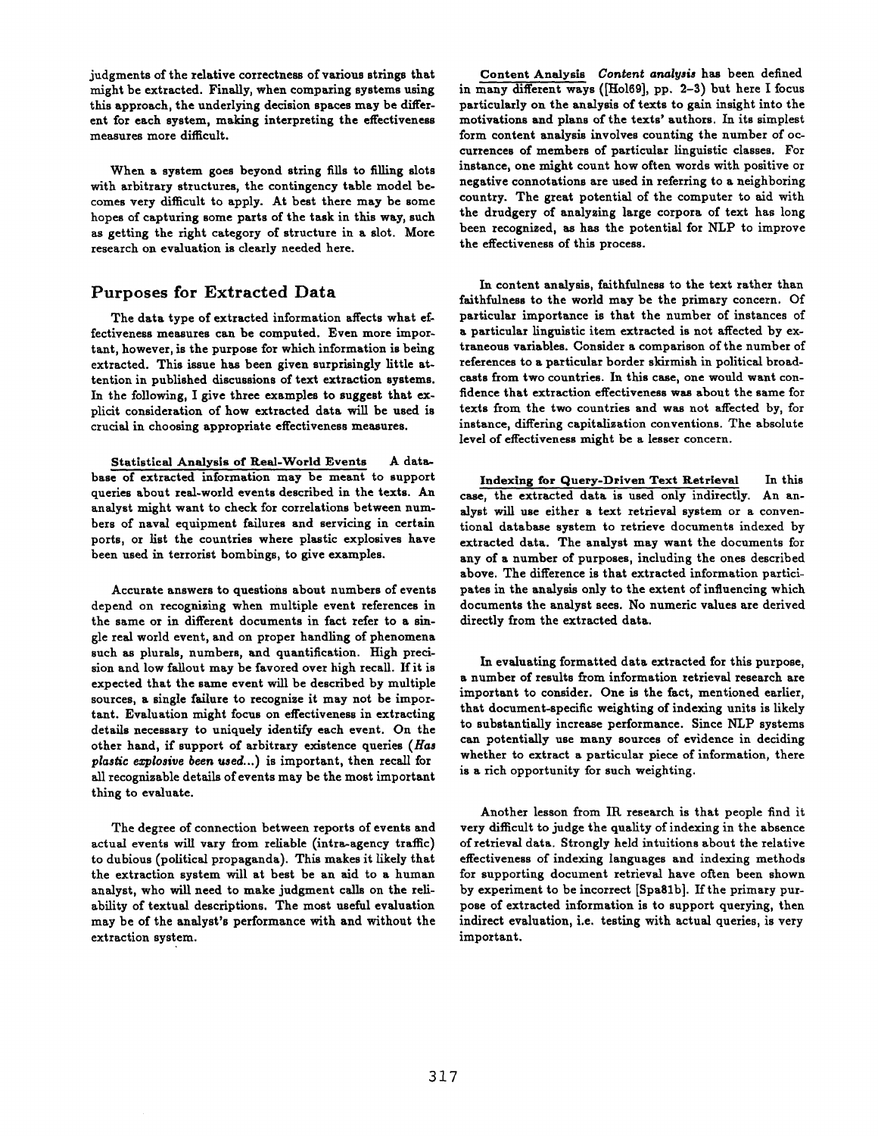judgments of the relative correctness of various strings that might be extracted. Finally, when comparing systems using this approach, the underlying decision spaces may be different for each system, making interpreting the effectiveness measures more diffcult.

When a system goes beyond string fills to filling slots with arbitrary structures, the contingency table model becomes very difficult to apply. At best there may be some hopes of capturing some parts of the task in this way, such as getting the right category of structure in a slot. More research on evaluation is clearly needed here.

# Purposes for Extracted Data

The data type of extracted information affects what effectiveness measures can be computed. Even more important, however, is the purpose for which information is being extracted. This issue has been given surprisingly little attention in published discussions of text extraction systems. In the following, I give three examples to suggest that explicit consideration of how extracted data will be used is crucial in choosing appropriate effectiveness measures.

Statistical Analysis of Real-World Events A database of extracted information may be meant to support queries about real-world events described in the texts. An analyst might want to check for correlations between numbers of naval equipment failures and servicing in certain ports, or list the countries where plastic explosives have been used in terrorist bombings, to give examples.

Accurate answers to questions about numbers of events depend on recognizing when multiple event references in the same or in different documents in fact refer to a single real world event, and on proper handling of phenomena such as plurals, numbers, and quantification. High precision and low fallout may be favored over high recall. If it is expected that the same event will be described by multiple sources, a single failure to recognize it may not be important. Evaluation might focus on effectiveness in extracting details necessary to uniquely identify each event. On the other hand, if support of arbitrary existence queries *(Has plastic explosive been used...*) is important, then recall for all recognizable details of events may be the most important thing to evaluate.

The degree of connection between reports of events and actual events will vary from reliable (intra-agency traffc) to dubious (political propaganda). This makes it likely that the extraction system will at best be an aid to a human analyst, who will need to make judgment calls on the tellability of textual descriptions. The most useful evaluation may be of the analyst's performance with and without the extraction system.

Content Analysis *Content analysis* has been defined in many different ways ([Ho169], pp. 2-3) but here I focus particularly on the analysis of texts to gain insight into the motivations and plans of the texts' authors. In its simplest form content analysis involves counting the number of occurrences of members of particular linguistic classes. For instance, one might count how often words with positive or negative connotations are used in referring to a neighboring country. The great potential of the computer to aid with the drudgery of analyzing large corpora of text has long been recognized, as has the potential for NLP to improve the effectiveness of this process.

In content analysis, faithfulness to the text rather than faithfulness to the world may be the primary concern. Of particular importance is that the number of instances of a particular linguistic item extracted is not affected by extraneous variables. Consider a comparison of the number of references to a particular border skirmish in political broadcasts from two countries. In this case, one would want confidence that extraction effectiveness was about the same for texts from the two countries and was not affected by, for instance, differing capitalization conventions. The absolute level of effectiveness might be a lesser concern.

Indexing for Query-Drlven Text Retrieval In this case, the extracted data is used only indirectly. An analyst will use either a text retrieval system or a conventional database system to retrieve documents indexed by extracted data. The analyst may want the documents for any of a number of purposes, including the ones described above. The difference is that extracted information participates in the analysis only to the extent of influencing which documents the analyst sees. No numeric values are derived directly from the extracted data.

In evaluating formatted data extracted for this purpose, a number of results from information retrieval research are important to consider. One is the fact, mentioned earlier, that document-specific weighting of indexing units is likely to substantially increase performance. Since NLP systems can potentially use many sources of evidence in deciding whether to extract a particular piece of information, there is a rich opportunity for such weighting.

Another lesson from IK research is that people find it very difficult to judge the quality of indexing in the absence of retrieval data. Strongly held intuitions about the relative effectiveness of indexing languages and indexing methods for supporting document retrieval have often been shown by experiment to be incorrect [Spaglb]. If the primary purpose of extracted information is to support querying, then indirect evaluation, i.e. testing with actual queries, is very important.